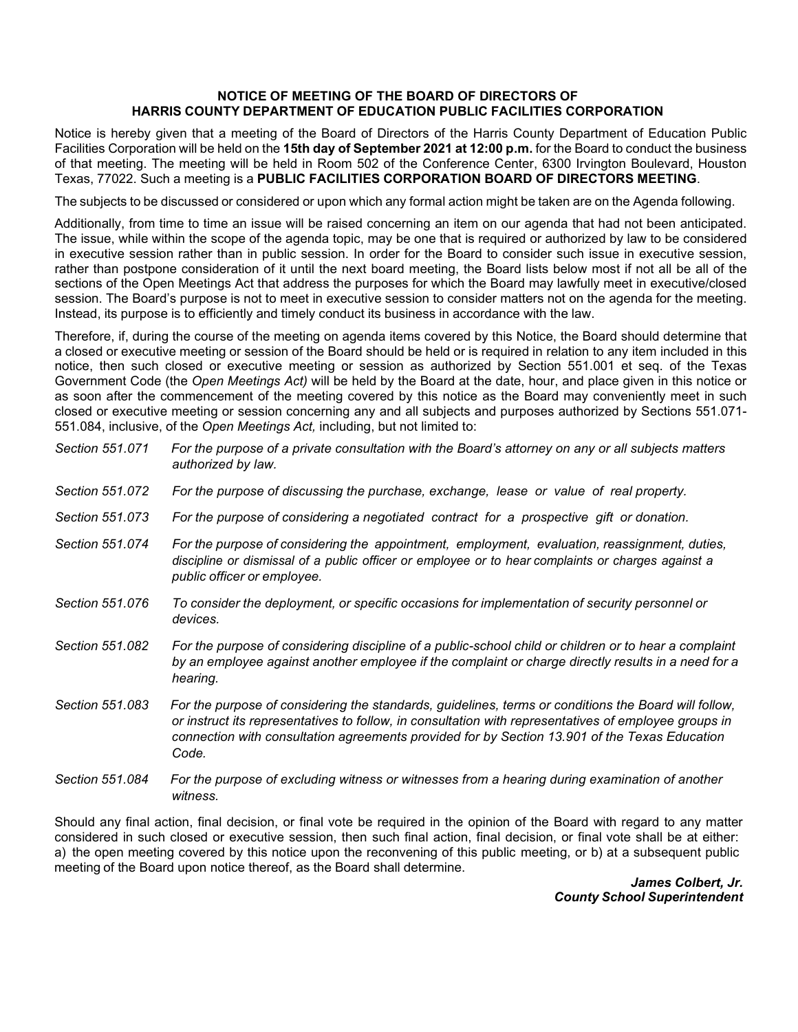## NOTICE OF MEETING OF THE BOARD OF DIRECTORS OF  **NOTICE OF MEETING OF THE BOARD OF DIRECTORS OF HARRIS COUNTY DEPARTMENT OF EDUCATION PUBLIC FACILITIES CORPORATION**

 Notice is hereby given that a meeting of the Board of Directors of the Harris County Department of Education Public of that meeting. The meeting will be held in Room 502 of the Conference Center, 6300 Irvington Boulevard, Houston Texas, 77022. Such a meeting is a **PUBLIC FACILITIES CORPORATION BOARD OF DIRECTORS MEETING**. Facilities Corporation will be held on the **15th day of September 2021 at 12:00 p.m.** for the Board to conduct the business

The subjects to be discussed or considered or upon which any formal action might be taken are on the Agenda following.

 Additionally, from time to time an issue will be raised concerning an item on our agenda that had not been anticipated. in executive session rather than in public session. In order for the Board to consider such issue in executive session, rather than postpone consideration of it until the next board meeting, the Board lists below most if not all be all of the Instead, its purpose is to efficiently and timely conduct its business in accordance with the law. The issue, while within the scope of the agenda topic, may be one that is required or authorized by law to be considered sections of the Open Meetings Act that address the purposes for which the Board may lawfully meet in executive/closed session. The Board's purpose is not to meet in executive session to consider matters not on the agenda for the meeting.

 a closed or executive meeting or session of the Board should be held or is required in relation to any item included in this  Government Code (the *Open Meetings Act)* will be held by the Board at the date, hour, and place given in this notice or as soon after the commencement of the meeting covered by this notice as the Board may conveniently meet in such closed or executive meeting or session concerning any and all subjects and purposes authorized by Sections 551.071- 551.084, inclusive, of the *Open Meetings Act,* including, but not limited to: Therefore, if, during the course of the meeting on agenda items covered by this Notice, the Board should determine that notice, then such closed or executive meeting or session as authorized by Section 551.001 et seq. of the Texas

| Section 551.071 | For the purpose of a private consultation with the Board's attorney on any or all subjects matters<br>authorized by law.                                                                                                                                                                                                |
|-----------------|-------------------------------------------------------------------------------------------------------------------------------------------------------------------------------------------------------------------------------------------------------------------------------------------------------------------------|
| Section 551.072 | For the purpose of discussing the purchase, exchange, lease or value of real property.                                                                                                                                                                                                                                  |
| Section 551,073 | For the purpose of considering a negotiated contract for a prospective gift or donation.                                                                                                                                                                                                                                |
| Section 551.074 | For the purpose of considering the appointment, employment, evaluation, reassignment, duties,<br>discipline or dismissal of a public officer or employee or to hear complaints or charges against a<br>public officer or employee.                                                                                      |
| Section 551.076 | To consider the deployment, or specific occasions for implementation of security personnel or<br>devices.                                                                                                                                                                                                               |
| Section 551.082 | For the purpose of considering discipline of a public-school child or children or to hear a complaint<br>by an employee against another employee if the complaint or charge directly results in a need for a<br>hearing.                                                                                                |
| Section 551.083 | For the purpose of considering the standards, guidelines, terms or conditions the Board will follow,<br>or instruct its representatives to follow, in consultation with representatives of employee groups in<br>connection with consultation agreements provided for by Section 13.901 of the Texas Education<br>Code. |
| Section 551,084 | For the purpose of excluding witness or witnesses from a hearing during examination of another                                                                                                                                                                                                                          |

 Should any final action, final decision, or final vote be required in the opinion of the Board with regard to any matter considered in such closed or executive session, then such final action, final decision, or final vote shall be at either: a) the open meeting covered by this notice upon the reconvening of this public meeting, or b) at a subsequent public meeting of the Board upon notice thereof, as the Board shall determine.

*witness.* 

 *James Colbert, Jr. County School Superintendent*